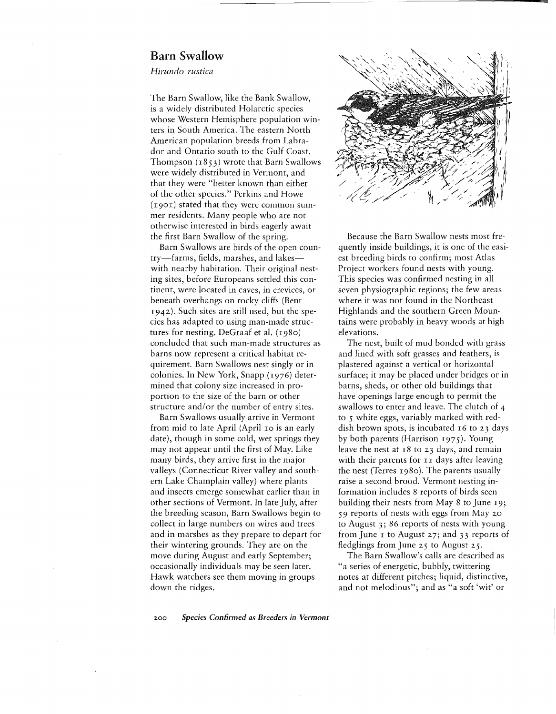## Barn Swallow

*Hirundo rustica*

The Barn Swallow, like the Bank Swallow, is a widely distributed Holarctic species whose Western Hemisphere population winters in South America. The eastern North American population breeds from Labrador and Ontario south to the Gulf Coast. Thompson (1853) wrote that Barn Swallows were widely distributed in Vermont, and that they were "better known than either of the other species." Perkins and Howe (1901) stated that they were common summer residents. Many people who are not otherwise interested in birds eagerly await the first Barn Swallow of the spring.

Barn Swallows are birds of the open country-farms, fields, marshes, and lakeswith nearby habitation. Their original nesting sites, before Europeans settled this continent, were located in caves, in crevices, or beneath overhangs on rocky cliffs (Bent 1942). Such sites are still used, but the species has adapted to using man-made structures for nesting. DeGraaf et al.  $(1980)$ concluded that such man-made structures as barns now represent a critical habitat requirement. Barn Swallows nest singly or in colonies. In New York, Snapp (1976) determined that colony size increased in proportion to the size of the barn or other structure and/or the number of entry sites.

Barn Swallows usually arrive in Vermont from mid to late April (April 10 is an early date), though in some cold, wet springs they may not appear until the first of May. Like many birds, they arrive first in the major valleys (Connecticut River valley and southern Lake Champlain valley) where plants and insects emerge somewhat earlier than in other sections of Vermont. In late July, after the breeding season, Barn Swallows begin to collect in large numbers on wires and trees and in marshes as they prepare to depart for their wintering grounds. They are on the move during August and early September; occasionally individuals may be seen later. Hawk watchers see them moving in groups down the ridges.



q

Because the Barn Swallow nests most frequently inside buildings, it is one of the easiest breeding birds to confirm; most Atlas Project workers found nests with young. This species was confirmed nesting in all seven physiographic regions; the few areas where it was not found in the Northeast Highlands and the southern Green Mountains were probably in heavy woods at high elevations.

The nest, built of mud bonded with grass and lined with soft grasses and feathers, is plastered against a vertical or horizontal surface; it may be placed under bridges or in barns, sheds, or other old buildings that have openings large enough to permit the swallows to enter and leave. The clutch of 4 to 5 white eggs, variably marked with reddish brown spots, is incubated 16 to 23 days by both parents (Harrison 1975). Young leave the nest at 18 to 23 days, and remain with their parents for 11 days after leaving the nest (Terres 1980). The parents usually raise a second brood. Vermont nesting information includes 8 reports of birds seen building their nests from May 8 to June 19; 59 reports of nests with eggs from May 20 to August 3; 86 reports of nests with young from June  $\bar{x}$  to August 27; and 33 reports of fledglings from June 25 to August 25.

The Barn Swallow's calls are described as "a series of energetic, bubbly, twittering notes at different pitches; liquid, distinctive, and not melodious"; and as "a soft 'wit' or

*200 Species Confirmed as Breeders in Vermont*